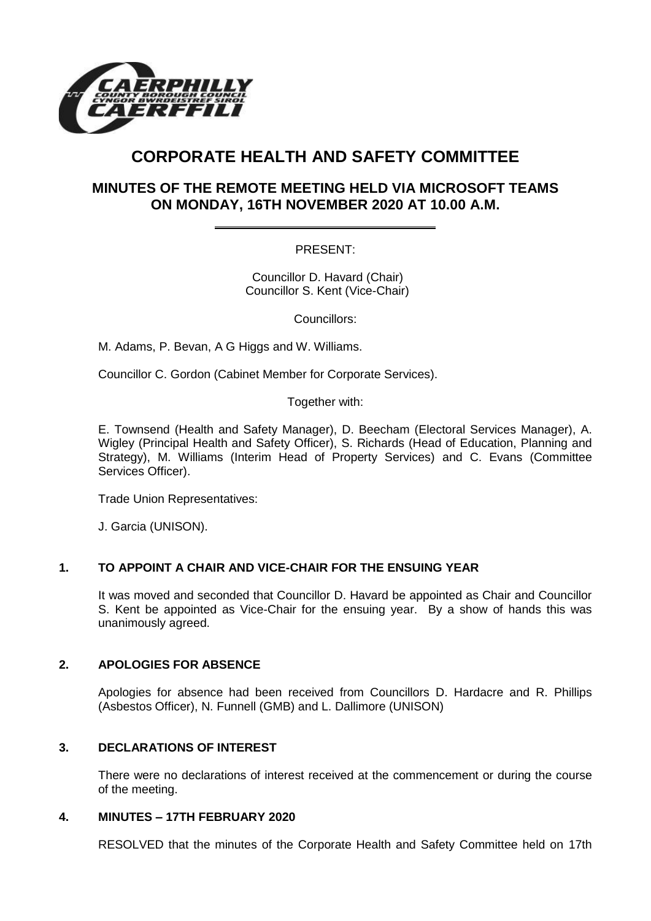

# **CORPORATE HEALTH AND SAFETY COMMITTEE**

# **MINUTES OF THE REMOTE MEETING HELD VIA MICROSOFT TEAMS ON MONDAY, 16TH NOVEMBER 2020 AT 10.00 A.M.**

PRESENT:

 Councillor D. Havard (Chair) Councillor S. Kent (Vice-Chair)

Councillors:

M. Adams, P. Bevan, A G Higgs and W. Williams.

Councillor C. Gordon (Cabinet Member for Corporate Services).

Together with:

E. Townsend (Health and Safety Manager), D. Beecham (Electoral Services Manager), A. Wigley (Principal Health and Safety Officer), S. Richards (Head of Education, Planning and Strategy), M. Williams (Interim Head of Property Services) and C. Evans (Committee Services Officer).

Trade Union Representatives:

J. Garcia (UNISON).

# **1. TO APPOINT A CHAIR AND VICE-CHAIR FOR THE ENSUING YEAR**

It was moved and seconded that Councillor D. Havard be appointed as Chair and Councillor S. Kent be appointed as Vice-Chair for the ensuing year. By a show of hands this was unanimously agreed.

# **2. APOLOGIES FOR ABSENCE**

Apologies for absence had been received from Councillors D. Hardacre and R. Phillips (Asbestos Officer), N. Funnell (GMB) and L. Dallimore (UNISON)

# **3. DECLARATIONS OF INTEREST**

There were no declarations of interest received at the commencement or during the course of the meeting.

#### **4. MINUTES – 17TH FEBRUARY 2020**

RESOLVED that the minutes of the Corporate Health and Safety Committee held on 17th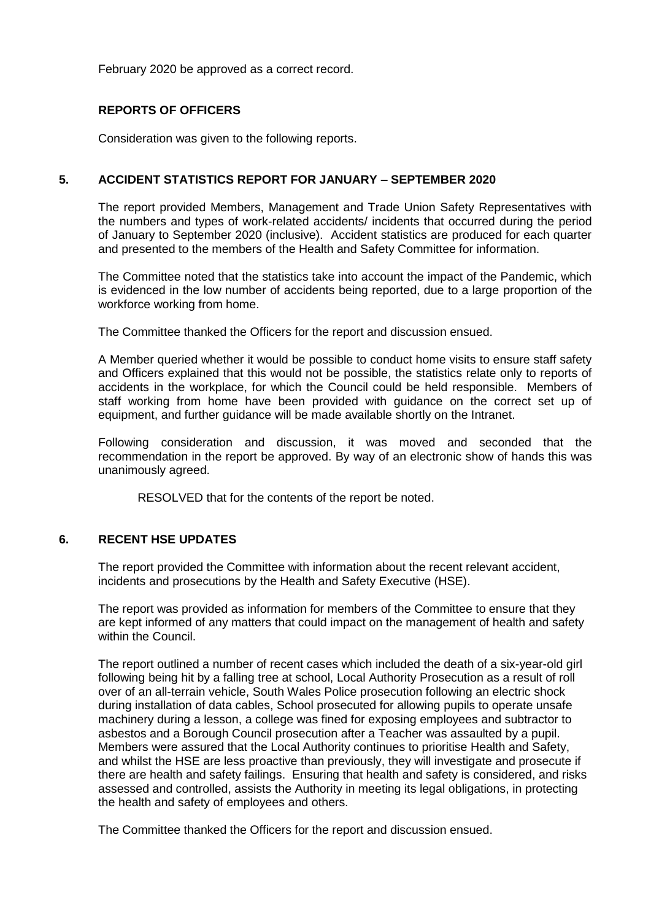February 2020 be approved as a correct record.

#### **REPORTS OF OFFICERS**

Consideration was given to the following reports.

#### **5. ACCIDENT STATISTICS REPORT FOR JANUARY – SEPTEMBER 2020**

The report provided Members, Management and Trade Union Safety Representatives with the numbers and types of work-related accidents/ incidents that occurred during the period of January to September 2020 (inclusive). Accident statistics are produced for each quarter and presented to the members of the Health and Safety Committee for information.

The Committee noted that the statistics take into account the impact of the Pandemic, which is evidenced in the low number of accidents being reported, due to a large proportion of the workforce working from home.

The Committee thanked the Officers for the report and discussion ensued.

A Member queried whether it would be possible to conduct home visits to ensure staff safety and Officers explained that this would not be possible, the statistics relate only to reports of accidents in the workplace, for which the Council could be held responsible. Members of staff working from home have been provided with guidance on the correct set up of equipment, and further guidance will be made available shortly on the Intranet.

Following consideration and discussion, it was moved and seconded that the recommendation in the report be approved. By way of an electronic show of hands this was unanimously agreed.

RESOLVED that for the contents of the report be noted.

#### **6. RECENT HSE UPDATES**

The report provided the Committee with information about the recent relevant accident, incidents and prosecutions by the Health and Safety Executive (HSE).

The report was provided as information for members of the Committee to ensure that they are kept informed of any matters that could impact on the management of health and safety within the Council.

The report outlined a number of recent cases which included the death of a six-year-old girl following being hit by a falling tree at school, Local Authority Prosecution as a result of roll over of an all-terrain vehicle, South Wales Police prosecution following an electric shock during installation of data cables, School prosecuted for allowing pupils to operate unsafe machinery during a lesson, a college was fined for exposing employees and subtractor to asbestos and a Borough Council prosecution after a Teacher was assaulted by a pupil. Members were assured that the Local Authority continues to prioritise Health and Safety, and whilst the HSE are less proactive than previously, they will investigate and prosecute if there are health and safety failings. Ensuring that health and safety is considered, and risks assessed and controlled, assists the Authority in meeting its legal obligations, in protecting the health and safety of employees and others.

The Committee thanked the Officers for the report and discussion ensued.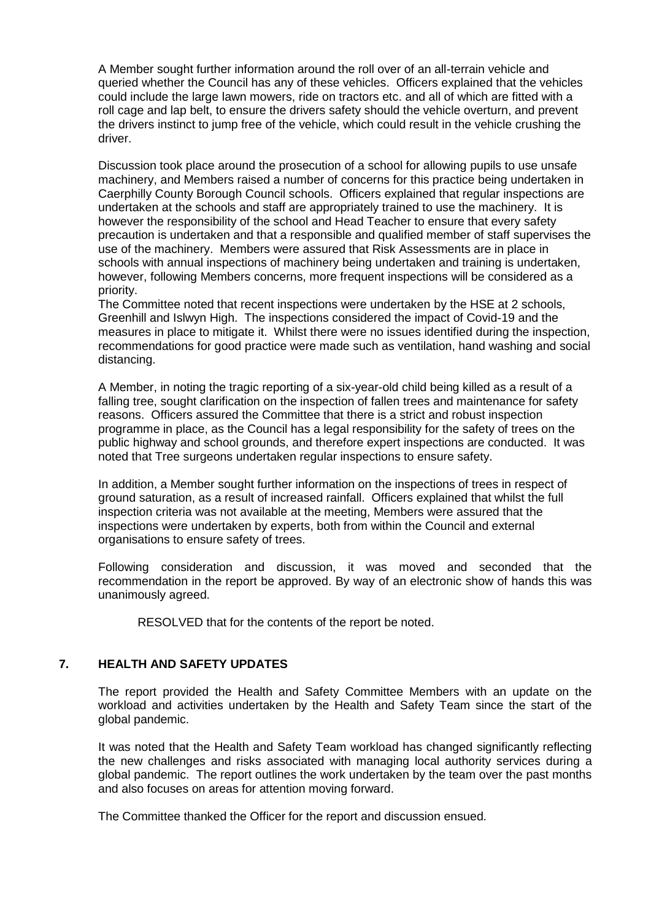A Member sought further information around the roll over of an all-terrain vehicle and queried whether the Council has any of these vehicles. Officers explained that the vehicles could include the large lawn mowers, ride on tractors etc. and all of which are fitted with a roll cage and lap belt, to ensure the drivers safety should the vehicle overturn, and prevent the drivers instinct to jump free of the vehicle, which could result in the vehicle crushing the driver.

Discussion took place around the prosecution of a school for allowing pupils to use unsafe machinery, and Members raised a number of concerns for this practice being undertaken in Caerphilly County Borough Council schools. Officers explained that regular inspections are undertaken at the schools and staff are appropriately trained to use the machinery. It is however the responsibility of the school and Head Teacher to ensure that every safety precaution is undertaken and that a responsible and qualified member of staff supervises the use of the machinery. Members were assured that Risk Assessments are in place in schools with annual inspections of machinery being undertaken and training is undertaken, however, following Members concerns, more frequent inspections will be considered as a priority.

The Committee noted that recent inspections were undertaken by the HSE at 2 schools, Greenhill and Islwyn High. The inspections considered the impact of Covid-19 and the measures in place to mitigate it. Whilst there were no issues identified during the inspection, recommendations for good practice were made such as ventilation, hand washing and social distancing.

A Member, in noting the tragic reporting of a six-year-old child being killed as a result of a falling tree, sought clarification on the inspection of fallen trees and maintenance for safety reasons. Officers assured the Committee that there is a strict and robust inspection programme in place, as the Council has a legal responsibility for the safety of trees on the public highway and school grounds, and therefore expert inspections are conducted. It was noted that Tree surgeons undertaken regular inspections to ensure safety.

In addition, a Member sought further information on the inspections of trees in respect of ground saturation, as a result of increased rainfall. Officers explained that whilst the full inspection criteria was not available at the meeting, Members were assured that the inspections were undertaken by experts, both from within the Council and external organisations to ensure safety of trees.

Following consideration and discussion, it was moved and seconded that the recommendation in the report be approved. By way of an electronic show of hands this was unanimously agreed.

RESOLVED that for the contents of the report be noted.

#### **7. HEALTH AND SAFETY UPDATES**

The report provided the Health and Safety Committee Members with an update on the workload and activities undertaken by the Health and Safety Team since the start of the global pandemic.

It was noted that the Health and Safety Team workload has changed significantly reflecting the new challenges and risks associated with managing local authority services during a global pandemic. The report outlines the work undertaken by the team over the past months and also focuses on areas for attention moving forward.

The Committee thanked the Officer for the report and discussion ensued.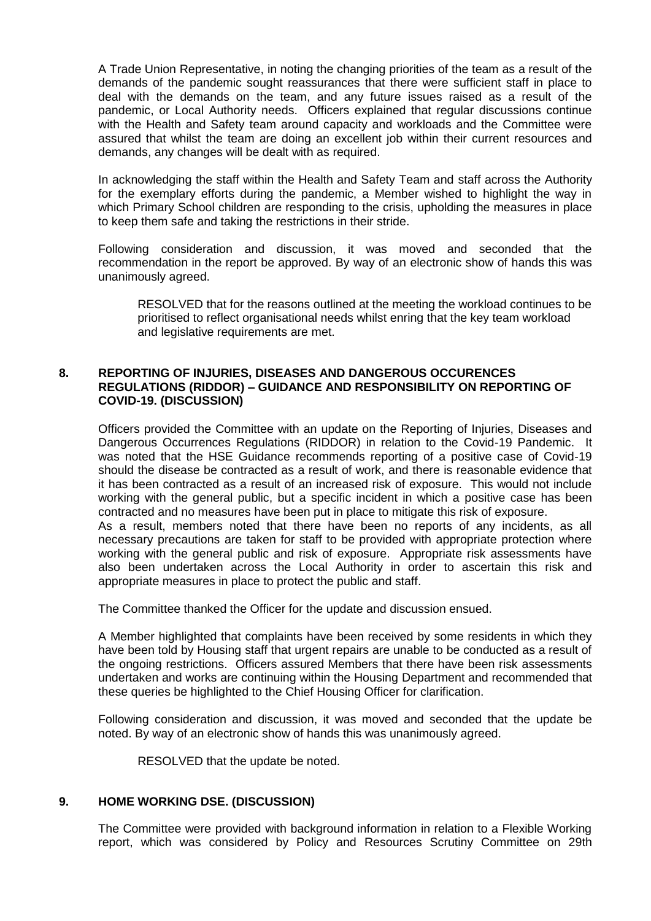A Trade Union Representative, in noting the changing priorities of the team as a result of the demands of the pandemic sought reassurances that there were sufficient staff in place to deal with the demands on the team, and any future issues raised as a result of the pandemic, or Local Authority needs. Officers explained that regular discussions continue with the Health and Safety team around capacity and workloads and the Committee were assured that whilst the team are doing an excellent job within their current resources and demands, any changes will be dealt with as required.

In acknowledging the staff within the Health and Safety Team and staff across the Authority for the exemplary efforts during the pandemic, a Member wished to highlight the way in which Primary School children are responding to the crisis, upholding the measures in place to keep them safe and taking the restrictions in their stride.

Following consideration and discussion, it was moved and seconded that the recommendation in the report be approved. By way of an electronic show of hands this was unanimously agreed.

RESOLVED that for the reasons outlined at the meeting the workload continues to be prioritised to reflect organisational needs whilst enring that the key team workload and legislative requirements are met.

#### **8. REPORTING OF INJURIES, DISEASES AND DANGEROUS OCCURENCES REGULATIONS (RIDDOR) – GUIDANCE AND RESPONSIBILITY ON REPORTING OF COVID-19. (DISCUSSION)**

Officers provided the Committee with an update on the Reporting of Injuries, Diseases and Dangerous Occurrences Regulations (RIDDOR) in relation to the Covid-19 Pandemic. It was noted that the HSE Guidance recommends reporting of a positive case of Covid-19 should the disease be contracted as a result of work, and there is reasonable evidence that it has been contracted as a result of an increased risk of exposure. This would not include working with the general public, but a specific incident in which a positive case has been contracted and no measures have been put in place to mitigate this risk of exposure.

As a result, members noted that there have been no reports of any incidents, as all necessary precautions are taken for staff to be provided with appropriate protection where working with the general public and risk of exposure. Appropriate risk assessments have also been undertaken across the Local Authority in order to ascertain this risk and appropriate measures in place to protect the public and staff.

The Committee thanked the Officer for the update and discussion ensued.

A Member highlighted that complaints have been received by some residents in which they have been told by Housing staff that urgent repairs are unable to be conducted as a result of the ongoing restrictions. Officers assured Members that there have been risk assessments undertaken and works are continuing within the Housing Department and recommended that these queries be highlighted to the Chief Housing Officer for clarification.

Following consideration and discussion, it was moved and seconded that the update be noted. By way of an electronic show of hands this was unanimously agreed.

RESOLVED that the update be noted.

#### **9. HOME WORKING DSE. (DISCUSSION)**

The Committee were provided with background information in relation to a Flexible Working report, which was considered by Policy and Resources Scrutiny Committee on 29th